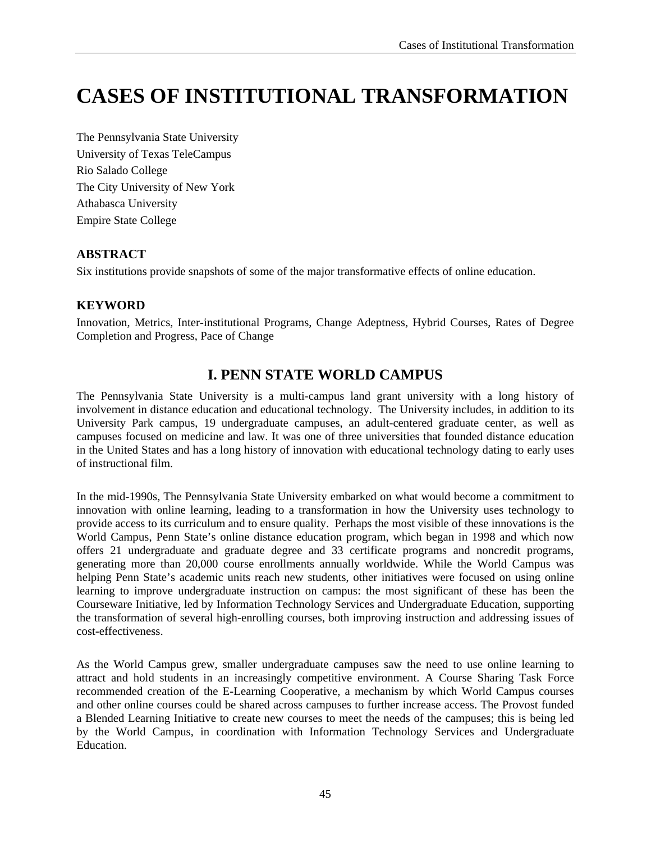# **CASES OF INSTITUTIONAL TRANSFORMATION**

The Pennsylvania State University University of Texas TeleCampus Rio Salado College The City University of New York Athabasca University Empire State College

#### **ABSTRACT**

Six institutions provide snapshots of some of the major transformative effects of online education.

#### **KEYWORD**

Innovation, Metrics, Inter-institutional Programs, Change Adeptness, Hybrid Courses, Rates of Degree Completion and Progress, Pace of Change

# **I. PENN STATE WORLD CAMPUS**

The Pennsylvania State University is a multi-campus land grant university with a long history of involvement in distance education and educational technology. The University includes, in addition to its University Park campus, 19 undergraduate campuses, an adult-centered graduate center, as well as campuses focused on medicine and law. It was one of three universities that founded distance education in the United States and has a long history of innovation with educational technology dating to early uses of instructional film.

In the mid-1990s, The Pennsylvania State University embarked on what would become a commitment to innovation with online learning, leading to a transformation in how the University uses technology to provide access to its curriculum and to ensure quality. Perhaps the most visible of these innovations is the World Campus, Penn State's online distance education program, which began in 1998 and which now offers 21 undergraduate and graduate degree and 33 certificate programs and noncredit programs, generating more than 20,000 course enrollments annually worldwide. While the World Campus was helping Penn State's academic units reach new students, other initiatives were focused on using online learning to improve undergraduate instruction on campus: the most significant of these has been the Courseware Initiative, led by Information Technology Services and Undergraduate Education, supporting the transformation of several high-enrolling courses, both improving instruction and addressing issues of cost-effectiveness.

As the World Campus grew, smaller undergraduate campuses saw the need to use online learning to attract and hold students in an increasingly competitive environment. A Course Sharing Task Force recommended creation of the E-Learning Cooperative, a mechanism by which World Campus courses and other online courses could be shared across campuses to further increase access. The Provost funded a Blended Learning Initiative to create new courses to meet the needs of the campuses; this is being led by the World Campus, in coordination with Information Technology Services and Undergraduate Education.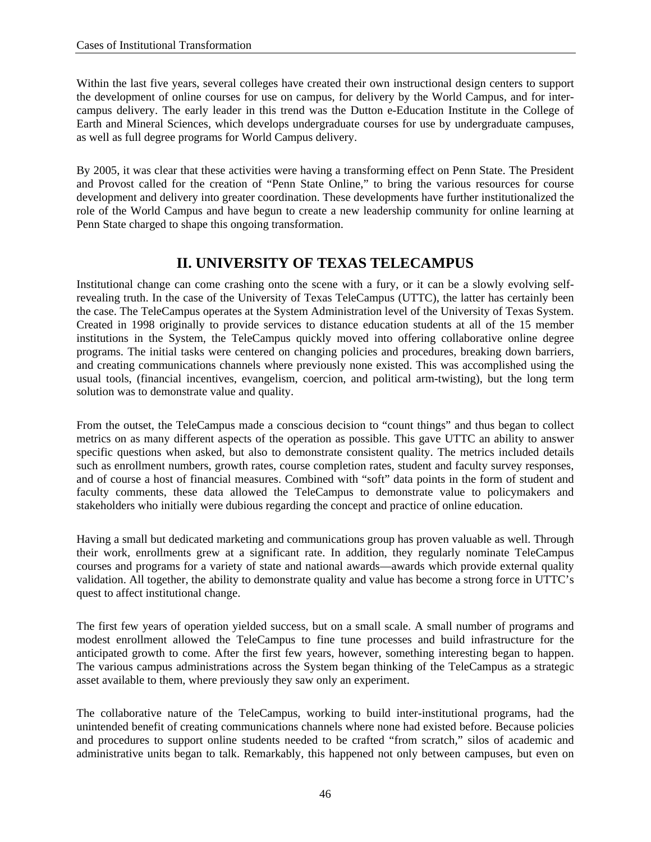Within the last five years, several colleges have created their own instructional design centers to support the development of online courses for use on campus, for delivery by the World Campus, and for intercampus delivery. The early leader in this trend was the Dutton e-Education Institute in the College of Earth and Mineral Sciences, which develops undergraduate courses for use by undergraduate campuses, as well as full degree programs for World Campus delivery.

By 2005, it was clear that these activities were having a transforming effect on Penn State. The President and Provost called for the creation of "Penn State Online," to bring the various resources for course development and delivery into greater coordination. These developments have further institutionalized the role of the World Campus and have begun to create a new leadership community for online learning at Penn State charged to shape this ongoing transformation.

## **II. UNIVERSITY OF TEXAS TELECAMPUS**

Institutional change can come crashing onto the scene with a fury, or it can be a slowly evolving selfrevealing truth. In the case of the University of Texas TeleCampus (UTTC), the latter has certainly been the case. The TeleCampus operates at the System Administration level of the University of Texas System. Created in 1998 originally to provide services to distance education students at all of the 15 member institutions in the System, the TeleCampus quickly moved into offering collaborative online degree programs. The initial tasks were centered on changing policies and procedures, breaking down barriers, and creating communications channels where previously none existed. This was accomplished using the usual tools, (financial incentives, evangelism, coercion, and political arm-twisting), but the long term solution was to demonstrate value and quality.

From the outset, the TeleCampus made a conscious decision to "count things" and thus began to collect metrics on as many different aspects of the operation as possible. This gave UTTC an ability to answer specific questions when asked, but also to demonstrate consistent quality. The metrics included details such as enrollment numbers, growth rates, course completion rates, student and faculty survey responses, and of course a host of financial measures. Combined with "soft" data points in the form of student and faculty comments, these data allowed the TeleCampus to demonstrate value to policymakers and stakeholders who initially were dubious regarding the concept and practice of online education.

Having a small but dedicated marketing and communications group has proven valuable as well. Through their work, enrollments grew at a significant rate. In addition, they regularly nominate TeleCampus courses and programs for a variety of state and national awards—awards which provide external quality validation. All together, the ability to demonstrate quality and value has become a strong force in UTTC's quest to affect institutional change.

The first few years of operation yielded success, but on a small scale. A small number of programs and modest enrollment allowed the TeleCampus to fine tune processes and build infrastructure for the anticipated growth to come. After the first few years, however, something interesting began to happen. The various campus administrations across the System began thinking of the TeleCampus as a strategic asset available to them, where previously they saw only an experiment.

The collaborative nature of the TeleCampus, working to build inter-institutional programs, had the unintended benefit of creating communications channels where none had existed before. Because policies and procedures to support online students needed to be crafted "from scratch," silos of academic and administrative units began to talk. Remarkably, this happened not only between campuses, but even on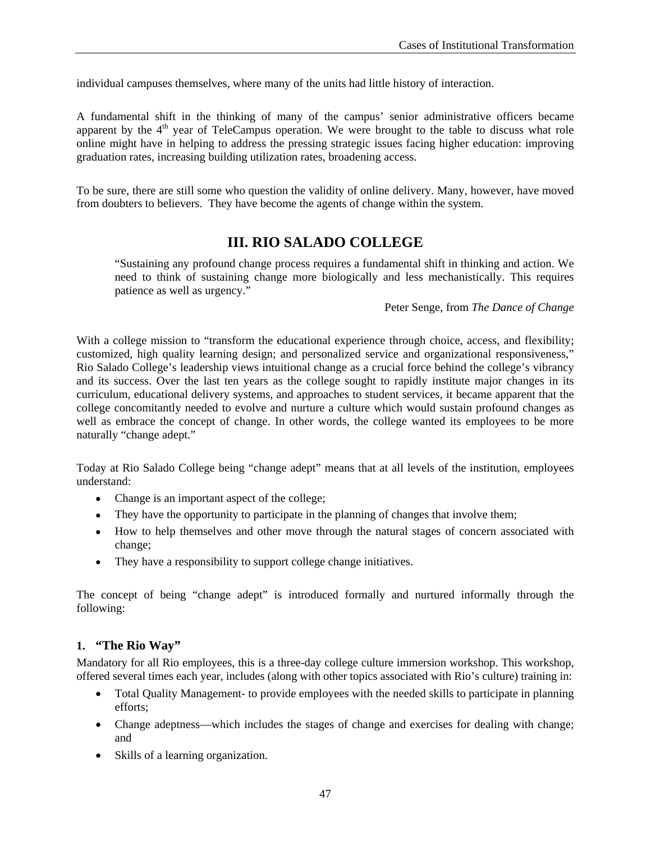individual campuses themselves, where many of the units had little history of interaction.

A fundamental shift in the thinking of many of the campus' senior administrative officers became apparent by the  $4<sup>th</sup>$  year of TeleCampus operation. We were brought to the table to discuss what role online might have in helping to address the pressing strategic issues facing higher education: improving graduation rates, increasing building utilization rates, broadening access.

To be sure, there are still some who question the validity of online delivery. Many, however, have moved from doubters to believers. They have become the agents of change within the system.

# **III. RIO SALADO COLLEGE**

"Sustaining any profound change process requires a fundamental shift in thinking and action. We need to think of sustaining change more biologically and less mechanistically. This requires patience as well as urgency."

Peter Senge, from *The Dance of Change* 

With a college mission to "transform the educational experience through choice, access, and flexibility; customized, high quality learning design; and personalized service and organizational responsiveness," Rio Salado College's leadership views intuitional change as a crucial force behind the college's vibrancy and its success. Over the last ten years as the college sought to rapidly institute major changes in its curriculum, educational delivery systems, and approaches to student services, it became apparent that the college concomitantly needed to evolve and nurture a culture which would sustain profound changes as well as embrace the concept of change. In other words, the college wanted its employees to be more naturally "change adept."

Today at Rio Salado College being "change adept" means that at all levels of the institution, employees understand:

- Change is an important aspect of the college;
- They have the opportunity to participate in the planning of changes that involve them;
- How to help themselves and other move through the natural stages of concern associated with change;
- They have a responsibility to support college change initiatives.

The concept of being "change adept" is introduced formally and nurtured informally through the following:

#### **1. "The Rio Way"**

Mandatory for all Rio employees, this is a three-day college culture immersion workshop. This workshop, offered several times each year, includes (along with other topics associated with Rio's culture) training in:

- Total Quality Management- to provide employees with the needed skills to participate in planning efforts;
- Change adeptness—which includes the stages of change and exercises for dealing with change; and
- Skills of a learning organization.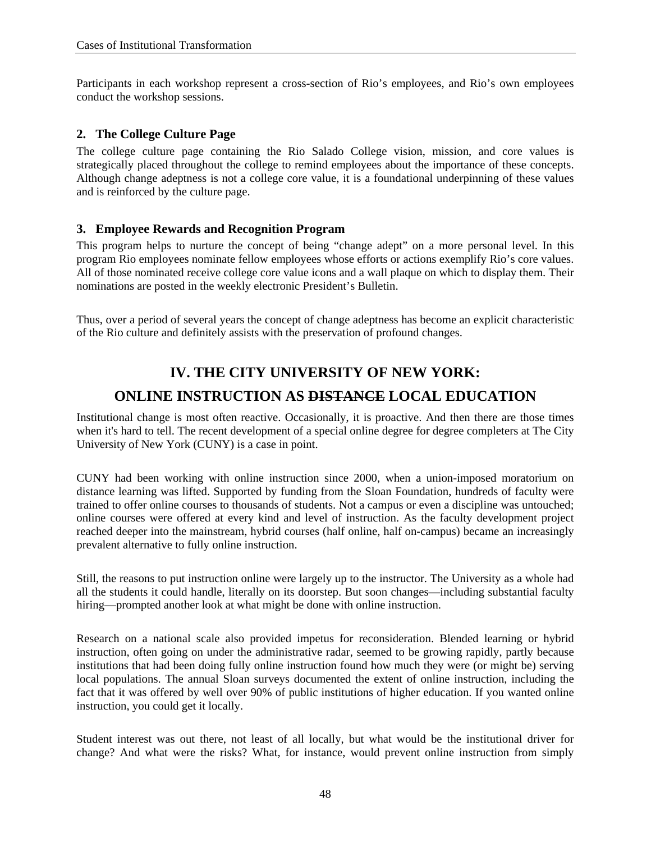Participants in each workshop represent a cross-section of Rio's employees, and Rio's own employees conduct the workshop sessions.

#### **2. The College Culture Page**

The college culture page containing the Rio Salado College vision, mission, and core values is strategically placed throughout the college to remind employees about the importance of these concepts. Although change adeptness is not a college core value, it is a foundational underpinning of these values and is reinforced by the culture page.

#### **3. Employee Rewards and Recognition Program**

This program helps to nurture the concept of being "change adept" on a more personal level. In this program Rio employees nominate fellow employees whose efforts or actions exemplify Rio's core values. All of those nominated receive college core value icons and a wall plaque on which to display them. Their nominations are posted in the weekly electronic President's Bulletin.

Thus, over a period of several years the concept of change adeptness has become an explicit characteristic of the Rio culture and definitely assists with the preservation of profound changes.

# **IV. THE CITY UNIVERSITY OF NEW YORK: ONLINE INSTRUCTION AS DISTANCE LOCAL EDUCATION**

Institutional change is most often reactive. Occasionally, it is proactive. And then there are those times when it's hard to tell. The recent development of a special online degree for degree completers at The City University of New York (CUNY) is a case in point.

CUNY had been working with online instruction since 2000, when a union-imposed moratorium on distance learning was lifted. Supported by funding from the Sloan Foundation, hundreds of faculty were trained to offer online courses to thousands of students. Not a campus or even a discipline was untouched; online courses were offered at every kind and level of instruction. As the faculty development project reached deeper into the mainstream, hybrid courses (half online, half on-campus) became an increasingly prevalent alternative to fully online instruction.

Still, the reasons to put instruction online were largely up to the instructor. The University as a whole had all the students it could handle, literally on its doorstep. But soon changes—including substantial faculty hiring—prompted another look at what might be done with online instruction.

Research on a national scale also provided impetus for reconsideration. Blended learning or hybrid instruction, often going on under the administrative radar, seemed to be growing rapidly, partly because institutions that had been doing fully online instruction found how much they were (or might be) serving local populations. The annual Sloan surveys documented the extent of online instruction, including the fact that it was offered by well over 90% of public institutions of higher education. If you wanted online instruction, you could get it locally.

Student interest was out there, not least of all locally, but what would be the institutional driver for change? And what were the risks? What, for instance, would prevent online instruction from simply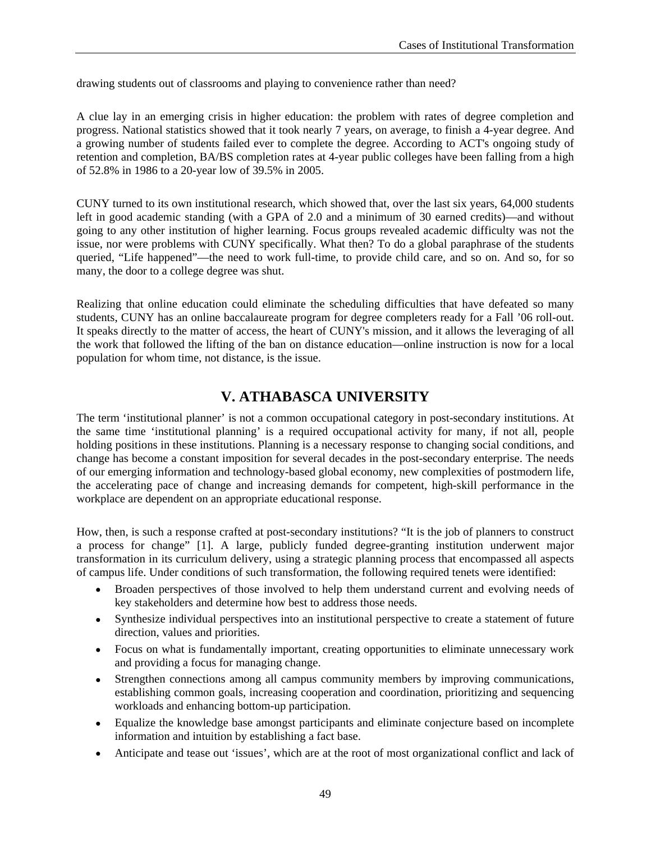drawing students out of classrooms and playing to convenience rather than need?

A clue lay in an emerging crisis in higher education: the problem with rates of degree completion and progress. National statistics showed that it took nearly 7 years, on average, to finish a 4-year degree. And a growing number of students failed ever to complete the degree. According to ACT's ongoing study of retention and completion, BA/BS completion rates at 4-year public colleges have been falling from a high of 52.8% in 1986 to a 20-year low of 39.5% in 2005.

CUNY turned to its own institutional research, which showed that, over the last six years, 64,000 students left in good academic standing (with a GPA of 2.0 and a minimum of 30 earned credits)—and without going to any other institution of higher learning. Focus groups revealed academic difficulty was not the issue, nor were problems with CUNY specifically. What then? To do a global paraphrase of the students queried, "Life happened"—the need to work full-time, to provide child care, and so on. And so, for so many, the door to a college degree was shut.

Realizing that online education could eliminate the scheduling difficulties that have defeated so many students, CUNY has an online baccalaureate program for degree completers ready for a Fall '06 roll-out. It speaks directly to the matter of access, the heart of CUNY's mission, and it allows the leveraging of all the work that followed the lifting of the ban on distance education—online instruction is now for a local population for whom time, not distance, is the issue.

# **V. ATHABASCA UNIVERSITY**

The term 'institutional planner' is not a common occupational category in post-secondary institutions. At the same time 'institutional planning' is a required occupational activity for many, if not all, people holding positions in these institutions. Planning is a necessary response to changing social conditions, and change has become a constant imposition for several decades in the post-secondary enterprise. The needs of our emerging information and technology-based global economy, new complexities of postmodern life, the accelerating pace of change and increasing demands for competent, high-skill performance in the workplace are dependent on an appropriate educational response.

How, then, is such a response crafted at post-secondary institutions? "It is the job of planners to construct a process for change" [1]. A large, publicly funded degree-granting institution underwent major transformation in its curriculum delivery, using a strategic planning process that encompassed all aspects of campus life. Under conditions of such transformation, the following required tenets were identified:

- Broaden perspectives of those involved to help them understand current and evolving needs of key stakeholders and determine how best to address those needs.
- Synthesize individual perspectives into an institutional perspective to create a statement of future direction, values and priorities.
- Focus on what is fundamentally important, creating opportunities to eliminate unnecessary work and providing a focus for managing change.
- Strengthen connections among all campus community members by improving communications, establishing common goals, increasing cooperation and coordination, prioritizing and sequencing workloads and enhancing bottom-up participation.
- Equalize the knowledge base amongst participants and eliminate conjecture based on incomplete information and intuition by establishing a fact base.
- Anticipate and tease out 'issues', which are at the root of most organizational conflict and lack of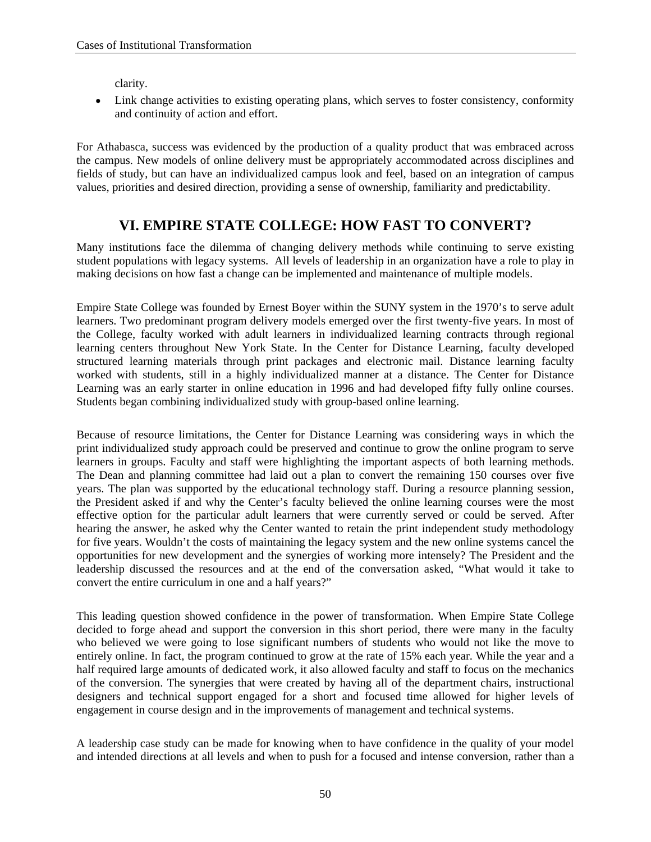clarity.

• Link change activities to existing operating plans, which serves to foster consistency, conformity and continuity of action and effort.

For Athabasca, success was evidenced by the production of a quality product that was embraced across the campus. New models of online delivery must be appropriately accommodated across disciplines and fields of study, but can have an individualized campus look and feel, based on an integration of campus values, priorities and desired direction, providing a sense of ownership, familiarity and predictability.

# **VI. EMPIRE STATE COLLEGE: HOW FAST TO CONVERT?**

Many institutions face the dilemma of changing delivery methods while continuing to serve existing student populations with legacy systems. All levels of leadership in an organization have a role to play in making decisions on how fast a change can be implemented and maintenance of multiple models.

Empire State College was founded by Ernest Boyer within the SUNY system in the 1970's to serve adult learners. Two predominant program delivery models emerged over the first twenty-five years. In most of the College, faculty worked with adult learners in individualized learning contracts through regional learning centers throughout New York State. In the Center for Distance Learning, faculty developed structured learning materials through print packages and electronic mail. Distance learning faculty worked with students, still in a highly individualized manner at a distance. The Center for Distance Learning was an early starter in online education in 1996 and had developed fifty fully online courses. Students began combining individualized study with group-based online learning.

Because of resource limitations, the Center for Distance Learning was considering ways in which the print individualized study approach could be preserved and continue to grow the online program to serve learners in groups. Faculty and staff were highlighting the important aspects of both learning methods. The Dean and planning committee had laid out a plan to convert the remaining 150 courses over five years. The plan was supported by the educational technology staff. During a resource planning session, the President asked if and why the Center's faculty believed the online learning courses were the most effective option for the particular adult learners that were currently served or could be served. After hearing the answer, he asked why the Center wanted to retain the print independent study methodology for five years. Wouldn't the costs of maintaining the legacy system and the new online systems cancel the opportunities for new development and the synergies of working more intensely? The President and the leadership discussed the resources and at the end of the conversation asked, "What would it take to convert the entire curriculum in one and a half years?"

This leading question showed confidence in the power of transformation. When Empire State College decided to forge ahead and support the conversion in this short period, there were many in the faculty who believed we were going to lose significant numbers of students who would not like the move to entirely online. In fact, the program continued to grow at the rate of 15% each year. While the year and a half required large amounts of dedicated work, it also allowed faculty and staff to focus on the mechanics of the conversion. The synergies that were created by having all of the department chairs, instructional designers and technical support engaged for a short and focused time allowed for higher levels of engagement in course design and in the improvements of management and technical systems.

A leadership case study can be made for knowing when to have confidence in the quality of your model and intended directions at all levels and when to push for a focused and intense conversion, rather than a